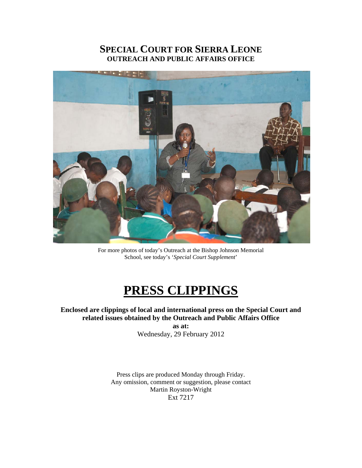## **SPECIAL COURT FOR SIERRA LEONE OUTREACH AND PUBLIC AFFAIRS OFFICE**



For more photos of today's Outreach at the Bishop Johnson Memorial School, see today's '*Special Court Supplement*'

# **PRESS CLIPPINGS**

**Enclosed are clippings of local and international press on the Special Court and related issues obtained by the Outreach and Public Affairs Office as at:** 

Wednesday, 29 February 2012

Press clips are produced Monday through Friday. Any omission, comment or suggestion, please contact Martin Royston-Wright Ext 7217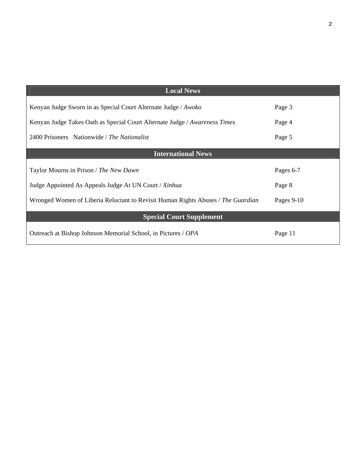| <b>Local News</b>                                                                |              |
|----------------------------------------------------------------------------------|--------------|
| Kenyan Judge Sworn in as Special Court Alternate Judge / Awoko                   | Page 3       |
|                                                                                  |              |
| Kenyan Judge Takes Oath as Special Court Alternate Judge / Awareness Times       | Page 4       |
| 2400 Prisoners Nationwide / The Nationalist                                      | Page 5       |
| <b>International News</b>                                                        |              |
| Taylor Mourns in Prison / The New Dawn                                           | Pages 6-7    |
| Judge Appointed As Appeals Judge At UN Court / Xinhua                            | Page 8       |
| Wronged Women of Liberia Reluctant to Revisit Human Rights Abuses / The Guardian | Pages $9-10$ |
| <b>Special Court Supplement</b>                                                  |              |
| Outreach at Bishop Johnson Memorial School, in Pictures / OPA                    | Page 11      |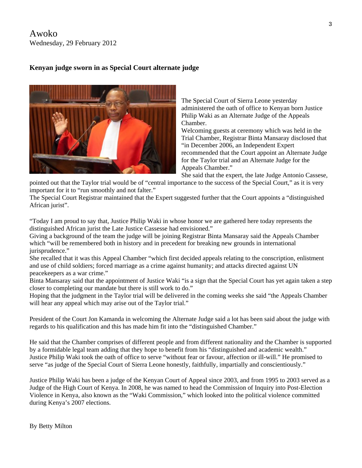Awoko Wednesday, 29 February 2012

#### **Kenyan judge sworn in as Special Court alternate judge**



The Special Court of Sierra Leone yesterday administered the oath of office to Kenyan born Justice Philip Waki as an Alternate Judge of the Appeals Chamber.

Welcoming guests at ceremony which was held in the Trial Chamber, Registrar Binta Mansaray disclosed that "in December 2006, an Independent Expert recommended that the Court appoint an Alternate Judge for the Taylor trial and an Alternate Judge for the Appeals Chamber."

She said that the expert, the late Judge Antonio Cassese,

pointed out that the Taylor trial would be of "central importance to the success of the Special Court," as it is very important for it to "run smoothly and not falter."

The Special Court Registrar maintained that the Expert suggested further that the Court appoints a "distinguished African jurist".

"Today I am proud to say that, Justice Philip Waki in whose honor we are gathered here today represents the distinguished African jurist the Late Justice Cassesse had envisioned."

Giving a background of the team the judge will be joining Registrar Binta Mansaray said the Appeals Chamber which "will be remembered both in history and in precedent for breaking new grounds in international jurisprudence."

She recalled that it was this Appeal Chamber "which first decided appeals relating to the conscription, enlistment and use of child soldiers; forced marriage as a crime against humanity; and attacks directed against UN peacekeepers as a war crime."

Binta Mansaray said that the appointment of Justice Waki "is a sign that the Special Court has yet again taken a step closer to completing our mandate but there is still work to do."

Hoping that the judgment in the Taylor trial will be delivered in the coming weeks she said "the Appeals Chamber will hear any appeal which may arise out of the Taylor trial."

President of the Court Jon Kamanda in welcoming the Alternate Judge said a lot has been said about the judge with regards to his qualification and this has made him fit into the "distinguished Chamber."

He said that the Chamber comprises of different people and from different nationality and the Chamber is supported by a formidable legal team adding that they hope to benefit from his "distinguished and academic wealth." Justice Philip Waki took the oath of office to serve "without fear or favour, affection or ill-will." He promised to serve "as judge of the Special Court of Sierra Leone honestly, faithfully, impartially and conscientiously."

Justice Philip Waki has been a judge of the Kenyan Court of Appeal since 2003, and from 1995 to 2003 served as a Judge of the High Court of Kenya. In 2008, he was named to head the Commission of Inquiry into Post-Election Violence in Kenya, also known as the "Waki Commission," which looked into the political violence committed during Kenya's 2007 elections.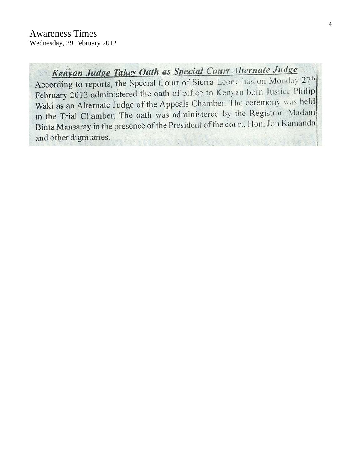Kenyan Judge Takes Oath as Special Court Alternate Judge According to reports, the Special Court of Sierra Leone has on Monday 27<sup>th</sup> February 2012 administered the oath of office to Kenyan born Justice Philip Waki as an Alternate Judge of the Appeals Chamber. The ceremony was held in the Trial Chamber. The oath was administered by the Registrar. Madam Binta Mansaray in the presence of the President of the court. Hon. Jon Kamanda and other dignitaries.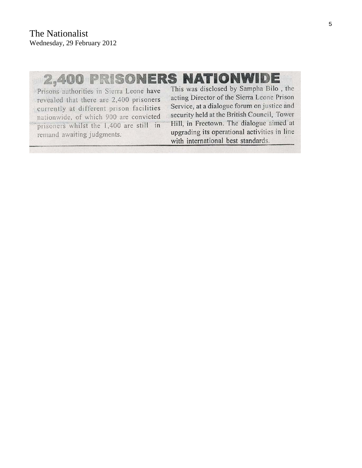#### **PRISONERS NATIONWIDE** 2,400

Prisons authorities in Sierra Leone have revealed that there are 2,400 prisoners currently at different prison facilities nationwide, of which 900 are convicted prisoners whilst the 1,400 are still in remand awaiting judgments.

This was disclosed by Sampha Bilo, the acting Director of the Sierra Leone Prison Service, at a dialogue forum on justice and security held at the British Council, Tower Hill, in Freetown. The dialogue aimed at upgrading its operational activities in line with international best standards.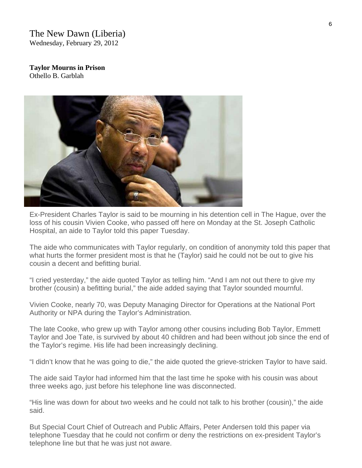The New Dawn (Liberia) Wednesday, February 29, 2012

**Taylor Mourns in Prison**  Othello B. Garblah



Ex-President Charles Taylor is said to be mourning in his detention cell in The Hague, over the loss of his cousin Vivien Cooke, who passed off here on Monday at the St. Joseph Catholic Hospital, an aide to Taylor told this paper Tuesday.

The aide who communicates with Taylor regularly, on condition of anonymity told this paper that what hurts the former president most is that he (Taylor) said he could not be out to give his cousin a decent and befitting burial.

"I cried yesterday," the aide quoted Taylor as telling him. "And I am not out there to give my brother (cousin) a befitting burial," the aide added saying that Taylor sounded mournful.

Vivien Cooke, nearly 70, was Deputy Managing Director for Operations at the National Port Authority or NPA during the Taylor's Administration.

The late Cooke, who grew up with Taylor among other cousins including Bob Taylor, Emmett Taylor and Joe Tate, is survived by about 40 children and had been without job since the end of the Taylor's regime. His life had been increasingly declining.

"I didn't know that he was going to die," the aide quoted the grieve-stricken Taylor to have said.

The aide said Taylor had informed him that the last time he spoke with his cousin was about three weeks ago, just before his telephone line was disconnected.

"His line was down for about two weeks and he could not talk to his brother (cousin)," the aide said.

But Special Court Chief of Outreach and Public Affairs, Peter Andersen told this paper via telephone Tuesday that he could not confirm or deny the restrictions on ex-president Taylor's telephone line but that he was just not aware.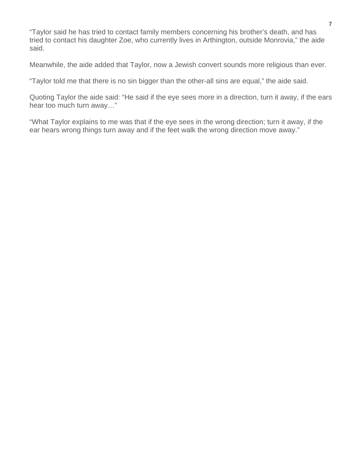"Taylor said he has tried to contact family members concerning his brother's death, and has tried to contact his daughter Zoe, who currently lives in Arthington, outside Monrovia," the aide said.

Meanwhile, the aide added that Taylor, now a Jewish convert sounds more religious than ever.

"Taylor told me that there is no sin bigger than the other-all sins are equal," the aide said.

Quoting Taylor the aide said: "He said if the eye sees more in a direction, turn it away, if the ears hear too much turn away…"

"What Taylor explains to me was that if the eye sees in the wrong direction; turn it away, if the ear hears wrong things turn away and if the feet walk the wrong direction move away."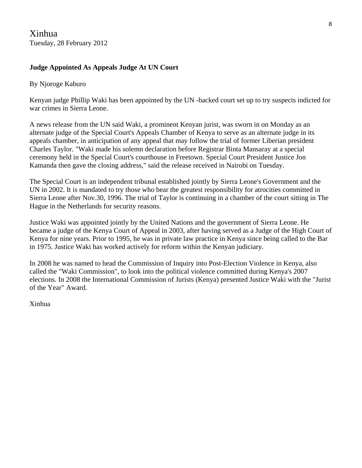### **Judge Appointed As Appeals Judge At UN Court**

#### By Njoroge Kaburo

Kenyan judge Phillip Waki has been appointed by the UN -backed court set up to try suspects indicted for war crimes in Sierra Leone.

A news release from the UN said Waki, a prominent Kenyan jurist, was sworn in on Monday as an alternate judge of the Special Court's Appeals Chamber of Kenya to serve as an alternate judge in its appeals chamber, in anticipation of any appeal that may follow the trial of former Liberian president Charles Taylor. "Waki made his solemn declaration before Registrar Binta Mansaray at a special ceremony held in the Special Court's courthouse in Freetown. Special Court President Justice Jon Kamanda then gave the closing address," said the release received in Nairobi on Tuesday.

The Special Court is an independent tribunal established jointly by Sierra Leone's Government and the UN in 2002. It is mandated to try those who bear the greatest responsibility for atrocities committed in Sierra Leone after Nov.30, 1996. The trial of Taylor is continuing in a chamber of the court sitting in The Hague in the Netherlands for security reasons.

Justice Waki was appointed jointly by the United Nations and the government of Sierra Leone. He became a judge of the Kenya Court of Appeal in 2003, after having served as a Judge of the High Court of Kenya for nine years. Prior to 1995, he was in private law practice in Kenya since being called to the Bar in 1975. Justice Waki has worked actively for reform within the Kenyan judiciary.

In 2008 he was named to head the Commission of Inquiry into Post-Election Violence in Kenya, also called the "Waki Commission", to look into the political violence committed during Kenya's 2007 elections. In 2008 the International Commission of Jurists (Kenya) presented Justice Waki with the "Jurist of the Year" Award.

Xinhua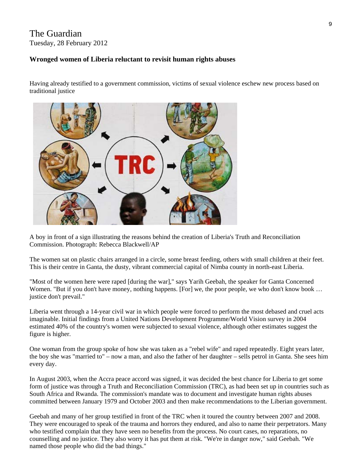### The Guardian Tuesday, 28 February 2012

#### **Wronged women of Liberia reluctant to revisit human rights abuses**

Having already testified to a government commission, victims of sexual violence eschew new process based on traditional justice



A boy in front of a sign illustrating the reasons behind the creation of Liberia's Truth and Reconciliation Commission. Photograph: Rebecca Blackwell/AP

The women sat on plastic chairs arranged in a circle, some breast feeding, others with small children at their feet. This is their centre in Ganta, the dusty, vibrant commercial capital of Nimba county in north-east Liberia.

"Most of the women here were raped [during the war]," says Yarih Geebah, the speaker for Ganta Concerned Women. "But if you don't have money, nothing happens. [For] we, the poor people, we who don't know book ... justice don't prevail."

Liberia went through a 14-year civil war in which people were forced to perform the most debased and cruel acts imaginable. Initial findings from a United Nations Development Programme/World Vision survey in 2004 estimated 40% of the country's women were subjected to sexual violence, although other estimates suggest the figure is higher.

One woman from the group spoke of how she was taken as a "rebel wife" and raped repeatedly. Eight years later, the boy she was "married to" – now a man, and also the father of her daughter – sells petrol in Ganta. She sees him every day.

In August 2003, when the Accra peace accord was signed, it was decided the best chance for Liberia to get some form of justice was through a Truth and Reconciliation Commission (TRC), as had been set up in countries such as South Africa and Rwanda. The commission's mandate was to document and investigate human rights abuses committed between January 1979 and October 2003 and then make recommendations to the Liberian government.

Geebah and many of her group testified in front of the TRC when it toured the country between 2007 and 2008. They were encouraged to speak of the trauma and horrors they endured, and also to name their perpetrators. Many who testified complain that they have seen no benefits from the process. No court cases, no reparations, no counselling and no justice. They also worry it has put them at risk. "We're in danger now," said Geebah. "We named those people who did the bad things."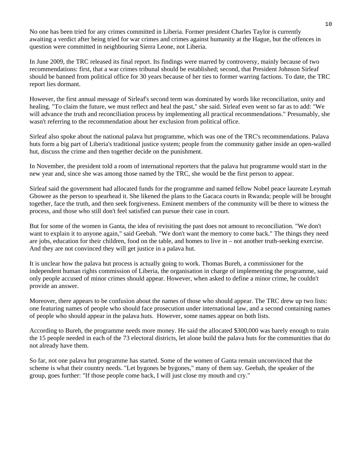No one has been tried for any crimes committed in Liberia. Former president Charles Taylor is currently awaiting a verdict after being tried for war crimes and crimes against humanity at the Hague, but the offences in question were committed in neighbouring Sierra Leone, not Liberia.

In June 2009, the TRC released its final report. Its findings were marred by controversy, mainly because of two recommendations: first, that a war crimes tribunal should be established; second, that President Johnson Sirleaf should be banned from political office for 30 years because of her ties to former warring factions. To date, the TRC report lies dormant.

However, the first annual message of Sirleaf's second term was dominated by words like reconciliation, unity and healing. "To claim the future, we must reflect and heal the past," she said. Sirleaf even went so far as to add: "We will advance the truth and reconciliation process by implementing all practical recommendations." Presumably, she wasn't referring to the recommendation about her exclusion from political office.

Sirleaf also spoke about the national palava hut programme, which was one of the TRC's recommendations. Palava huts form a big part of Liberia's traditional justice system; people from the community gather inside an open-walled hut, discuss the crime and then together decide on the punishment.

In November, the president told a room of international reporters that the palava hut programme would start in the new year and, since she was among those named by the TRC, she would be the first person to appear.

Sirleaf said the government had allocated funds for the programme and named fellow Nobel peace laureate Leymah Gbowee as the person to spearhead it. She likened the plans to the Gacaca courts in Rwanda; people will be brought together, face the truth, and then seek forgiveness. Eminent members of the community will be there to witness the process, and those who still don't feel satisfied can pursue their case in court.

But for some of the women in Ganta, the idea of revisiting the past does not amount to reconciliation. "We don't want to explain it to anyone again," said Geebah. "We don't want the memory to come back." The things they need are jobs, education for their children, food on the table, and homes to live in – not another truth-seeking exercise. And they are not convinced they will get justice in a palava hut.

It is unclear how the palava hut process is actually going to work. Thomas Bureh, a commissioner for the independent human rights commission of Liberia, the organisation in charge of implementing the programme, said only people accused of minor crimes should appear. However, when asked to define a minor crime, he couldn't provide an answer.

Moreover, there appears to be confusion about the names of those who should appear. The TRC drew up two lists: one featuring names of people who should face prosecution under international law, and a second containing names of people who should appear in the palava huts. However, some names appear on both lists.

According to Bureh, the programme needs more money. He said the allocated \$300,000 was barely enough to train the 15 people needed in each of the 73 electoral districts, let alone build the palava huts for the communities that do not already have them.

So far, not one palava hut programme has started. Some of the women of Ganta remain unconvinced that the scheme is what their country needs. "Let bygones be bygones," many of them say. Geebah, the speaker of the group, goes further: "If those people come back, I will just close my mouth and cry."